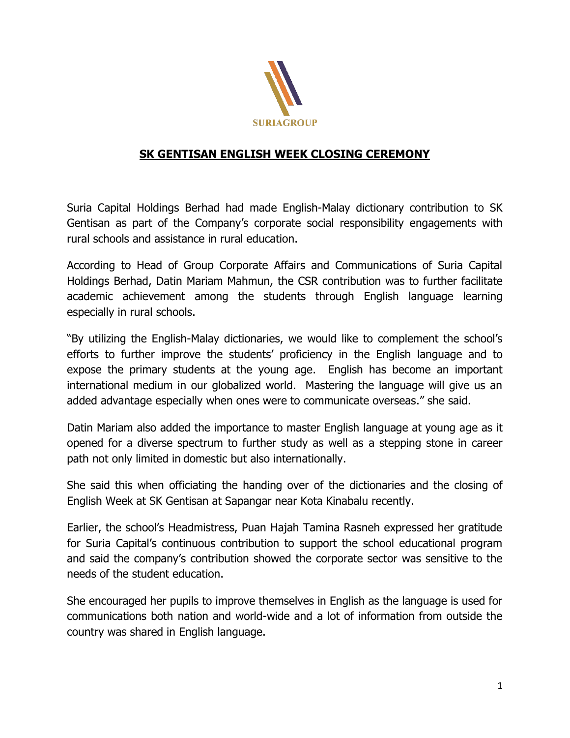

## **SK GENTISAN ENGLISH WEEK CLOSING CEREMONY**

Suria Capital Holdings Berhad had made English-Malay dictionary contribution to SK Gentisan as part of the Company's corporate social responsibility engagements with rural schools and assistance in rural education.

According to Head of Group Corporate Affairs and Communications of Suria Capital Holdings Berhad, Datin Mariam Mahmun, the CSR contribution was to further facilitate academic achievement among the students through English language learning especially in rural schools.

"By utilizing the English-Malay dictionaries, we would like to complement the school's efforts to further improve the students' proficiency in the English language and to expose the primary students at the young age. English has become an important international medium in our globalized world. Mastering the language will give us an added advantage especially when ones were to communicate overseas." she said.

Datin Mariam also added the importance to master English language at young age as it opened for a diverse spectrum to further study as well as a stepping stone in career path not only limited in domestic but also internationally.

She said this when officiating the handing over of the dictionaries and the closing of English Week at SK Gentisan at Sapangar near Kota Kinabalu recently.

Earlier, the school's Headmistress, Puan Hajah Tamina Rasneh expressed her gratitude for Suria Capital's continuous contribution to support the school educational program and said the company's contribution showed the corporate sector was sensitive to the needs of the student education.

She encouraged her pupils to improve themselves in English as the language is used for communications both nation and world-wide and a lot of information from outside the country was shared in English language.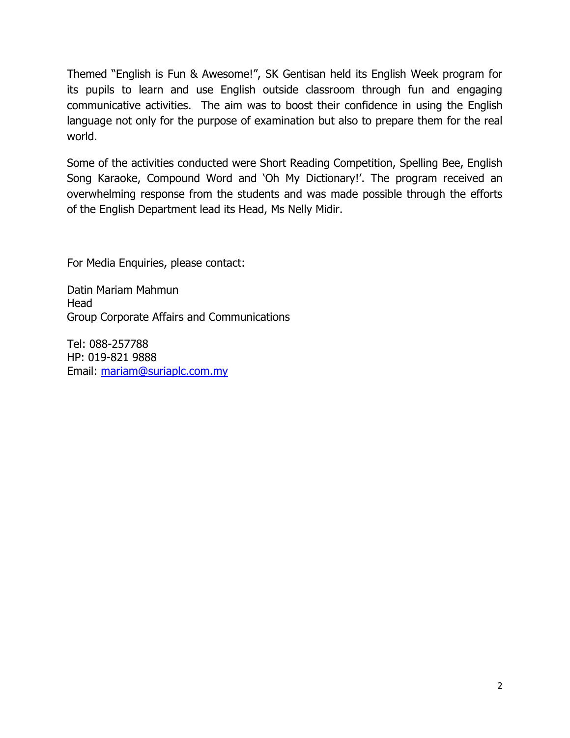Themed "English is Fun & Awesome!", SK Gentisan held its English Week program for its pupils to learn and use English outside classroom through fun and engaging communicative activities. The aim was to boost their confidence in using the English language not only for the purpose of examination but also to prepare them for the real world.

Some of the activities conducted were Short Reading Competition, Spelling Bee, English Song Karaoke, Compound Word and 'Oh My Dictionary!'. The program received an overwhelming response from the students and was made possible through the efforts of the English Department lead its Head, Ms Nelly Midir.

For Media Enquiries, please contact:

Datin Mariam Mahmun **Head** Group Corporate Affairs and Communications

Tel: 088-257788 HP: 019-821 9888 Email: [mariam@suriaplc.com.my](mailto:mariam@suriaplc.com.my)